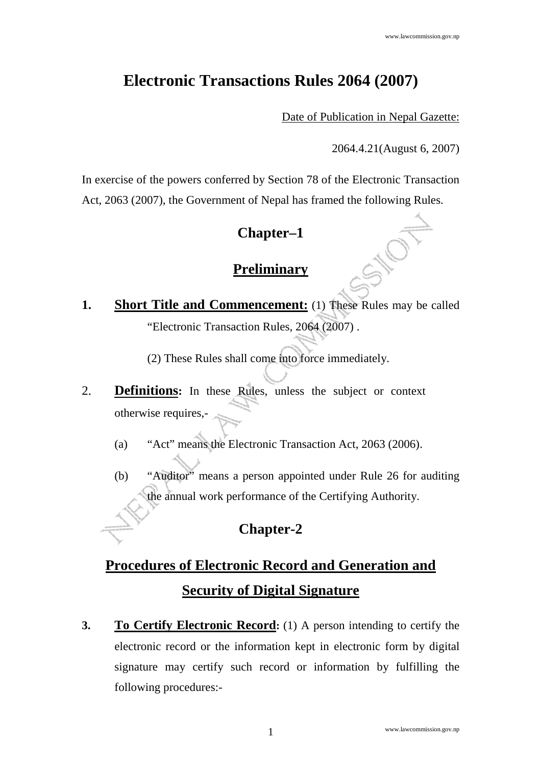## **Electronic Transactions Rules 2064 (2007)**

Date of Publication in Nepal Gazette:

2064.4.21(August 6, 2007)

In exercise of the powers conferred by Section 78 of the Electronic Transaction Act, 2063 (2007), the Government of Nepal has framed the following Rules.

## **Chapter–1**

### **Preliminary**

**1. Short Title and Commencement:** (1) These Rules may be called "Electronic Transaction Rules, 2064 (2007) .

(2) These Rules shall come into force immediately.

- 2. **Definitions:** In these Rules, unless the subject or context otherwise requires,-
	- (a) "Act" means the Electronic Transaction Act, 2063 (2006).
	- (b) "Auditor" means a person appointed under Rule 26 for auditing the annual work performance of the Certifying Authority.

## **Chapter-2**

# **Procedures of Electronic Record and Generation and Security of Digital Signature**

**3. To Certify Electronic Record:** (1) A person intending to certify the electronic record or the information kept in electronic form by digital signature may certify such record or information by fulfilling the following procedures:-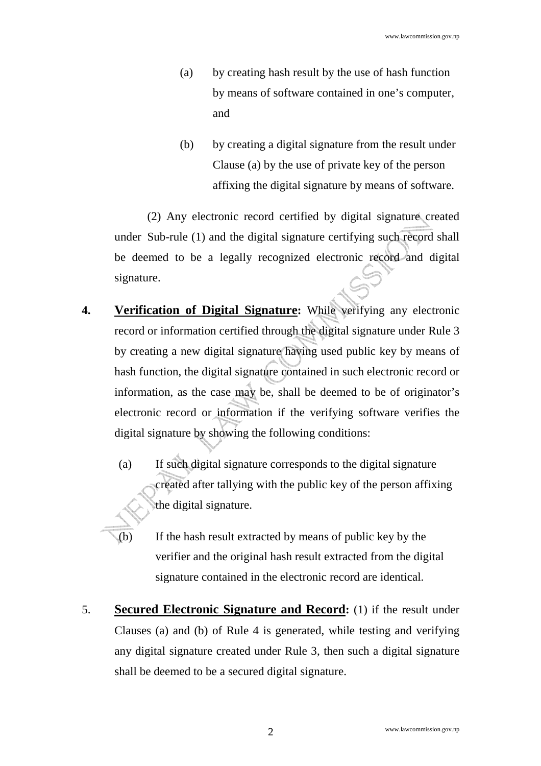- (a) by creating hash result by the use of hash function by means of software contained in one's computer, and
- (b) by creating a digital signature from the result under Clause (a) by the use of private key of the person affixing the digital signature by means of software.

(2) Any electronic record certified by digital signature created under Sub-rule (1) and the digital signature certifying such record shall be deemed to be a legally recognized electronic record and digital signature.

- **4. Verification of Digital Signature:** While verifying any electronic record or information certified through the digital signature under Rule 3 by creating a new digital signature having used public key by means of hash function, the digital signature contained in such electronic record or information, as the case may be, shall be deemed to be of originator's electronic record or information if the verifying software verifies the digital signature by showing the following conditions:
	- (a) If such digital signature corresponds to the digital signature created after tallying with the public key of the person affixing the digital signature.
	- (b) If the hash result extracted by means of public key by the verifier and the original hash result extracted from the digital signature contained in the electronic record are identical.
- 5. **Secured Electronic Signature and Record:** (1) if the result under Clauses (a) and (b) of Rule 4 is generated, while testing and verifying any digital signature created under Rule 3, then such a digital signature shall be deemed to be a secured digital signature.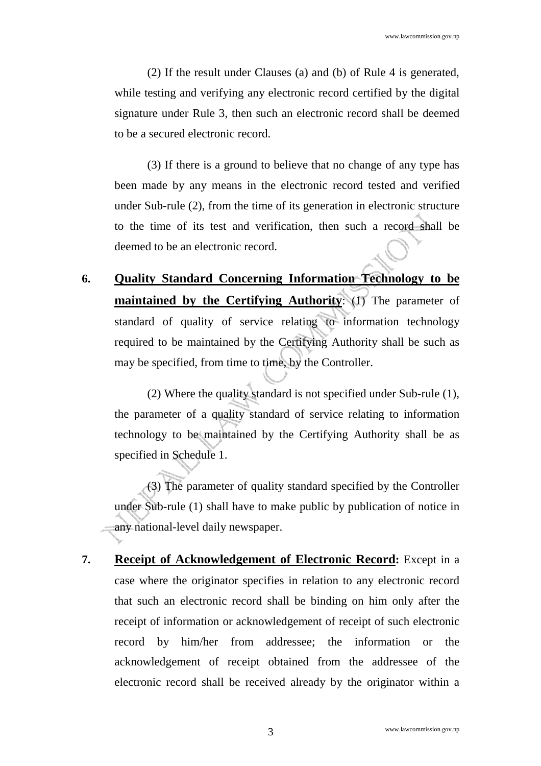(2) If the result under Clauses (a) and (b) of Rule 4 is generated, while testing and verifying any electronic record certified by the digital signature under Rule 3, then such an electronic record shall be deemed to be a secured electronic record.

(3) If there is a ground to believe that no change of any type has been made by any means in the electronic record tested and verified under Sub-rule (2), from the time of its generation in electronic structure to the time of its test and verification, then such a record shall be deemed to be an electronic record.

**6. Quality Standard Concerning Information Technology to be maintained by the Certifying Authority**: (1) The parameter of standard of quality of service relating to information technology required to be maintained by the Certifying Authority shall be such as may be specified, from time to time, by the Controller.

(2) Where the quality standard is not specified under Sub-rule (1), the parameter of a quality standard of service relating to information technology to be maintained by the Certifying Authority shall be as specified in Schedule 1.

(3) The parameter of quality standard specified by the Controller under Sub-rule (1) shall have to make public by publication of notice in any national-level daily newspaper.

**7. Receipt of Acknowledgement of Electronic Record:** Except in a case where the originator specifies in relation to any electronic record that such an electronic record shall be binding on him only after the receipt of information or acknowledgement of receipt of such electronic record by him/her from addressee; the information or the acknowledgement of receipt obtained from the addressee of the electronic record shall be received already by the originator within a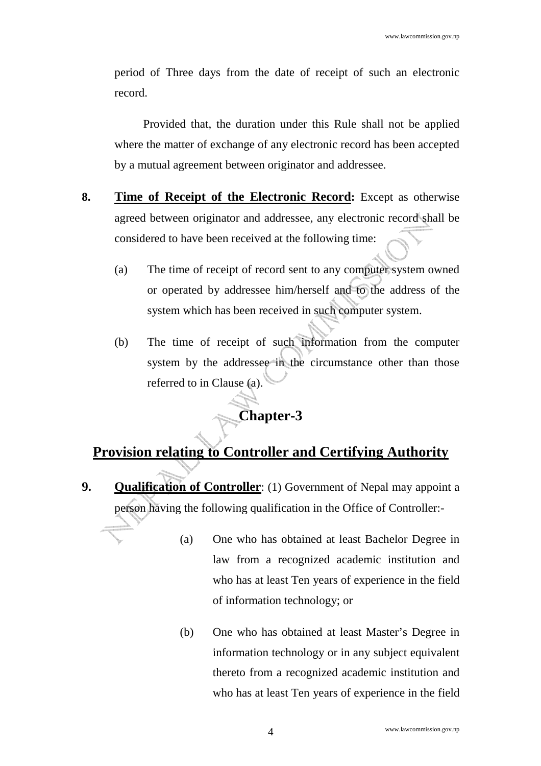period of Three days from the date of receipt of such an electronic record.

Provided that, the duration under this Rule shall not be applied where the matter of exchange of any electronic record has been accepted by a mutual agreement between originator and addressee.

- **8. Time of Receipt of the Electronic Record:** Except as otherwise agreed between originator and addressee, any electronic record shall be considered to have been received at the following time:
	- (a) The time of receipt of record sent to any computer system owned or operated by addressee him/herself and to the address of the system which has been received in such computer system.
	- (b) The time of receipt of such information from the computer system by the addressee in the circumstance other than those referred to in Clause (a).

## **Chapter-3**

## **Provision relating to Controller and Certifying Authority**

- **9. Qualification of Controller**: (1) Government of Nepal may appoint a person having the following qualification in the Office of Controller:-
	- (a) One who has obtained at least Bachelor Degree in law from a recognized academic institution and who has at least Ten years of experience in the field of information technology; or
	- (b) One who has obtained at least Master's Degree in information technology or in any subject equivalent thereto from a recognized academic institution and who has at least Ten years of experience in the field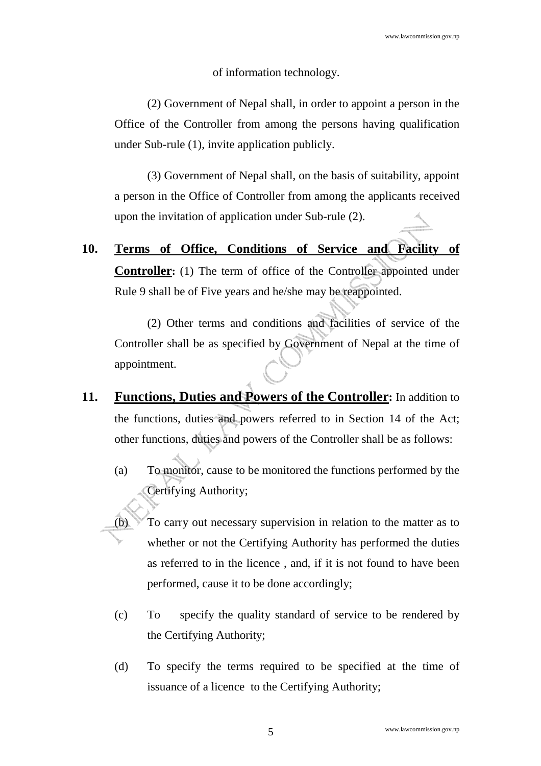#### of information technology.

(2) Government of Nepal shall, in order to appoint a person in the Office of the Controller from among the persons having qualification under Sub-rule (1), invite application publicly.

(3) Government of Nepal shall, on the basis of suitability, appoint a person in the Office of Controller from among the applicants received upon the invitation of application under Sub-rule (2).

**10. Terms of Office, Conditions of Service and Facility of Controller:** (1) The term of office of the Controller appointed under Rule 9 shall be of Five years and he/she may be reappointed.

(2) Other terms and conditions and facilities of service of the Controller shall be as specified by Government of Nepal at the time of appointment.

- **11. Functions, Duties and Powers of the Controller:** In addition to the functions, duties and powers referred to in Section 14 of the Act; other functions, duties and powers of the Controller shall be as follows:
	- (a) To monitor, cause to be monitored the functions performed by the Certifying Authority;
	- To carry out necessary supervision in relation to the matter as to whether or not the Certifying Authority has performed the duties as referred to in the licence , and, if it is not found to have been performed, cause it to be done accordingly;
	- (c) To specify the quality standard of service to be rendered by the Certifying Authority;
	- (d) To specify the terms required to be specified at the time of issuance of a licence to the Certifying Authority;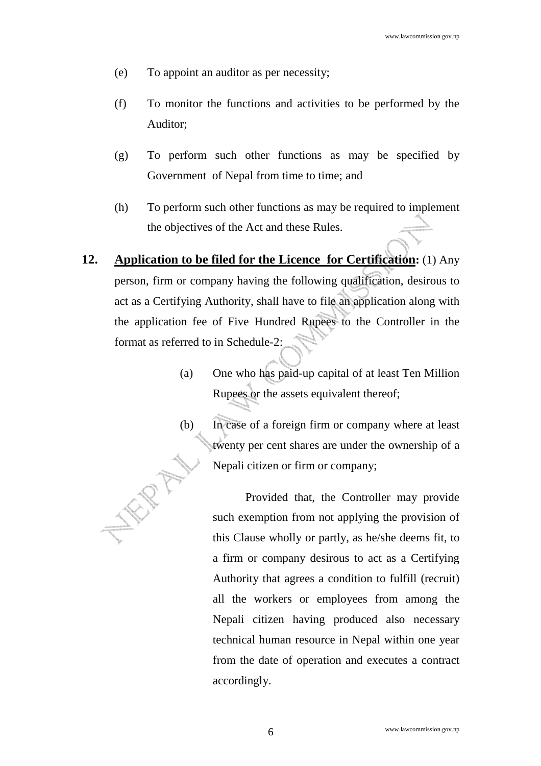- (e) To appoint an auditor as per necessity;
- (f) To monitor the functions and activities to be performed by the Auditor;
- (g) To perform such other functions as may be specified by Government of Nepal from time to time; and
- (h) To perform such other functions as may be required to implement the objectives of the Act and these Rules.
- **12. Application to be filed for the Licence for Certification:** (1) Any person, firm or company having the following qualification, desirous to act as a Certifying Authority, shall have to file an application along with the application fee of Five Hundred Rupees to the Controller in the format as referred to in Schedule-2:
	- (a) One who has paid-up capital of at least Ten Million Rupees or the assets equivalent thereof;
	- (b) In case of a foreign firm or company where at least twenty per cent shares are under the ownership of a Nepali citizen or firm or company;

Provided that, the Controller may provide such exemption from not applying the provision of this Clause wholly or partly, as he/she deems fit, to a firm or company desirous to act as a Certifying Authority that agrees a condition to fulfill (recruit) all the workers or employees from among the Nepali citizen having produced also necessary technical human resource in Nepal within one year from the date of operation and executes a contract accordingly.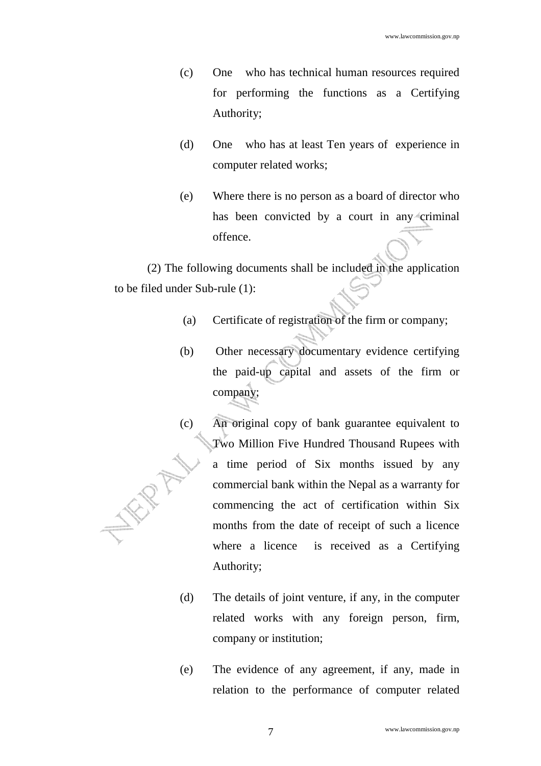- (c) One who has technical human resources required for performing the functions as a Certifying Authority;
- (d) One who has at least Ten years of experience in computer related works;
- (e) Where there is no person as a board of director who has been convicted by a court in any criminal offence.

(2) The following documents shall be included in the application to be filed under Sub-rule (1):

- (a) Certificate of registration of the firm or company;
- (b) Other necessary documentary evidence certifying the paid-up capital and assets of the firm or company;
- (c) An original copy of bank guarantee equivalent to Two Million Five Hundred Thousand Rupees with a time period of Six months issued by any WR commercial bank within the Nepal as a warranty for commencing the act of certification within Six months from the date of receipt of such a licence where a licence is received as a Certifying Authority;
	- (d) The details of joint venture, if any, in the computer related works with any foreign person, firm, company or institution;
	- (e) The evidence of any agreement, if any, made in relation to the performance of computer related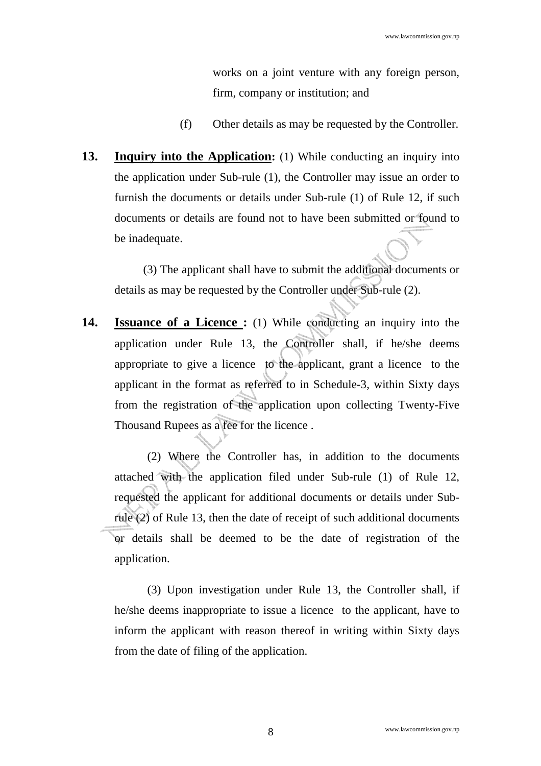works on a joint venture with any foreign person, firm, company or institution; and

- (f) Other details as may be requested by the Controller.
- **13. Inquiry into the Application:** (1) While conducting an inquiry into the application under Sub-rule (1), the Controller may issue an order to furnish the documents or details under Sub-rule (1) of Rule 12, if such documents or details are found not to have been submitted or found to be inadequate.

(3) The applicant shall have to submit the additional documents or details as may be requested by the Controller under Sub-rule (2).

**14. Issuance of a Licence :** (1) While conducting an inquiry into the application under Rule 13, the Controller shall, if he/she deems appropriate to give a licence to the applicant, grant a licence to the applicant in the format as referred to in Schedule-3, within Sixty days from the registration of the application upon collecting Twenty-Five Thousand Rupees as a fee for the licence .

(2) Where the Controller has, in addition to the documents attached with the application filed under Sub-rule (1) of Rule 12, requested the applicant for additional documents or details under Subrule (2) of Rule 13, then the date of receipt of such additional documents or details shall be deemed to be the date of registration of the application.

(3) Upon investigation under Rule 13, the Controller shall, if he/she deems inappropriate to issue a licence to the applicant, have to inform the applicant with reason thereof in writing within Sixty days from the date of filing of the application.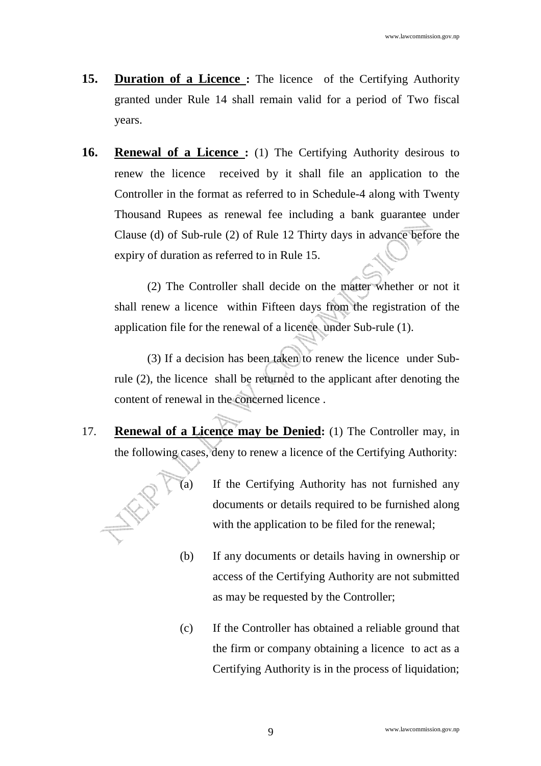- **15. Duration of a Licence :** The licence of the Certifying Authority granted under Rule 14 shall remain valid for a period of Two fiscal years.
- **16. Renewal of a Licence :** (1) The Certifying Authority desirous to renew the licence received by it shall file an application to the Controller in the format as referred to in Schedule-4 along with Twenty Thousand Rupees as renewal fee including a bank guarantee under Clause (d) of Sub-rule (2) of Rule 12 Thirty days in advance before the expiry of duration as referred to in Rule 15.

 (2) The Controller shall decide on the matter whether or not it shall renew a licence within Fifteen days from the registration of the application file for the renewal of a licence under Sub-rule (1).

 (3) If a decision has been taken to renew the licence under Subrule (2), the licence shall be returned to the applicant after denoting the content of renewal in the concerned licence .

17. **Renewal of a Licence may be Denied:** (1) The Controller may, in the following cases, deny to renew a licence of the Certifying Authority:



- (a) If the Certifying Authority has not furnished any documents or details required to be furnished along with the application to be filed for the renewal;
- (b) If any documents or details having in ownership or access of the Certifying Authority are not submitted as may be requested by the Controller;
- (c) If the Controller has obtained a reliable ground that the firm or company obtaining a licence to act as a Certifying Authority is in the process of liquidation;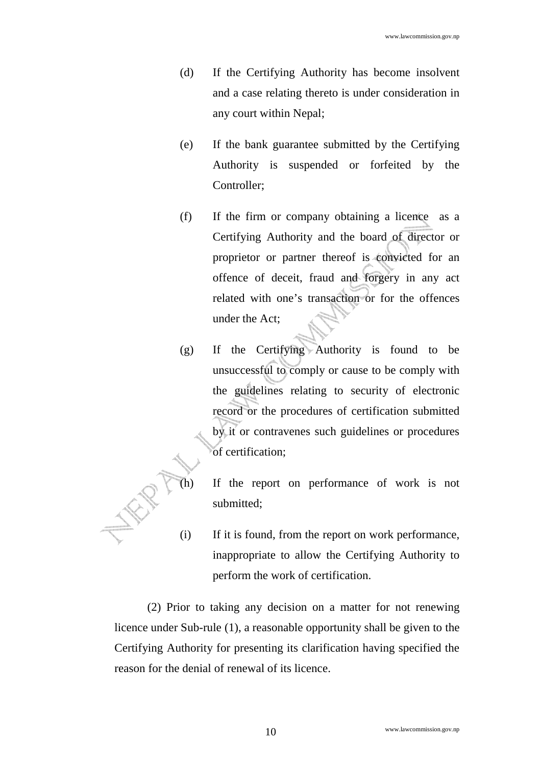- (d) If the Certifying Authority has become insolvent and a case relating thereto is under consideration in any court within Nepal;
- (e) If the bank guarantee submitted by the Certifying Authority is suspended or forfeited by the Controller;
- (f) If the firm or company obtaining a licence as a Certifying Authority and the board of director or proprietor or partner thereof is convicted for an offence of deceit, fraud and forgery in any act related with one's transaction or for the offences under the Act;
- (g) If the Certifying Authority is found to be unsuccessful to comply or cause to be comply with the guidelines relating to security of electronic record or the procedures of certification submitted by it or contravenes such guidelines or procedures of certification;
	- If the report on performance of work is not submitted;
- (i) If it is found, from the report on work performance, inappropriate to allow the Certifying Authority to perform the work of certification.

(2) Prior to taking any decision on a matter for not renewing licence under Sub-rule (1), a reasonable opportunity shall be given to the Certifying Authority for presenting its clarification having specified the reason for the denial of renewal of its licence.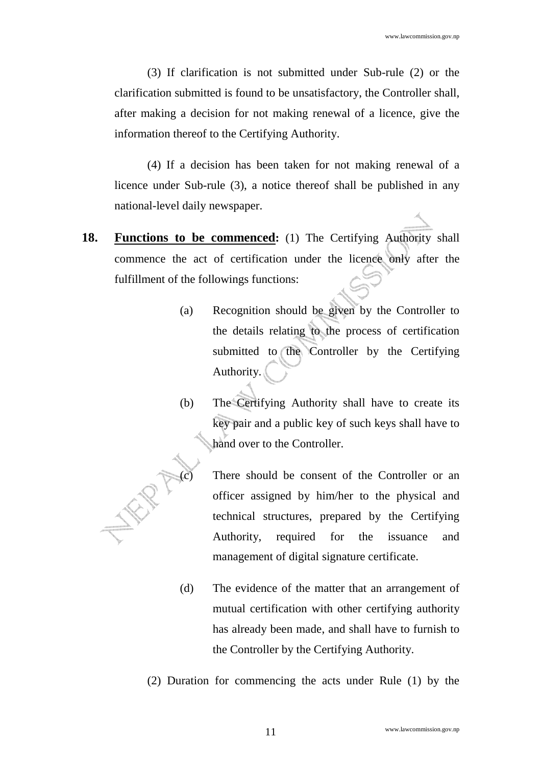(3) If clarification is not submitted under Sub-rule (2) or the clarification submitted is found to be unsatisfactory, the Controller shall, after making a decision for not making renewal of a licence, give the information thereof to the Certifying Authority.

(4) If a decision has been taken for not making renewal of a licence under Sub-rule (3), a notice thereof shall be published in any national-level daily newspaper.

- **18. Functions to be commenced:** (1) The Certifying Authority shall commence the act of certification under the licence only after the fulfillment of the followings functions:
	- (a) Recognition should be given by the Controller to the details relating to the process of certification submitted to the Controller by the Certifying Authority.
	- (b) The Certifying Authority shall have to create its key pair and a public key of such keys shall have to hand over to the Controller.



- (d) The evidence of the matter that an arrangement of mutual certification with other certifying authority has already been made, and shall have to furnish to the Controller by the Certifying Authority.
- (2) Duration for commencing the acts under Rule (1) by the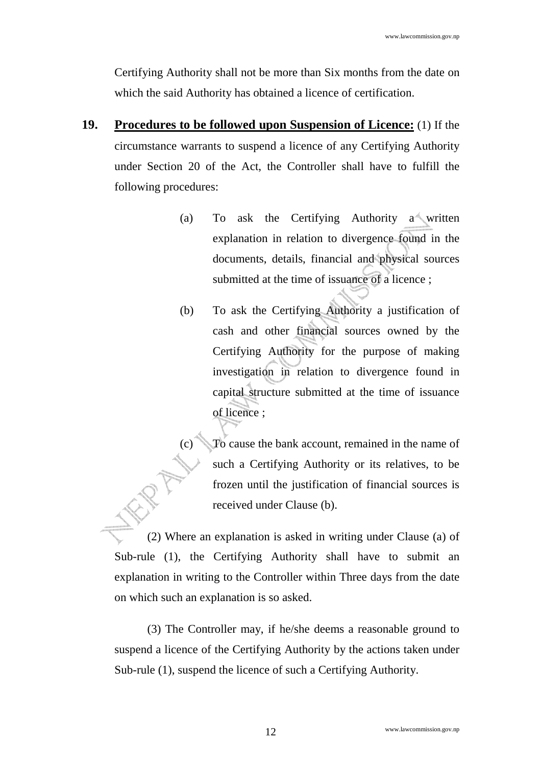Certifying Authority shall not be more than Six months from the date on which the said Authority has obtained a licence of certification.

- **19. Procedures to be followed upon Suspension of Licence:** (1) If the circumstance warrants to suspend a licence of any Certifying Authority under Section 20 of the Act, the Controller shall have to fulfill the following procedures:
	- (a) To ask the Certifying Authority a written explanation in relation to divergence found in the documents, details, financial and physical sources submitted at the time of issuance of a licence;
	- (b) To ask the Certifying Authority a justification of cash and other financial sources owned by the Certifying Authority for the purpose of making investigation in relation to divergence found in capital structure submitted at the time of issuance of licence ;

To cause the bank account, remained in the name of such a Certifying Authority or its relatives, to be frozen until the justification of financial sources is received under Clause (b).

(2) Where an explanation is asked in writing under Clause (a) of Sub-rule (1), the Certifying Authority shall have to submit an explanation in writing to the Controller within Three days from the date on which such an explanation is so asked.

(3) The Controller may, if he/she deems a reasonable ground to suspend a licence of the Certifying Authority by the actions taken under Sub-rule (1), suspend the licence of such a Certifying Authority.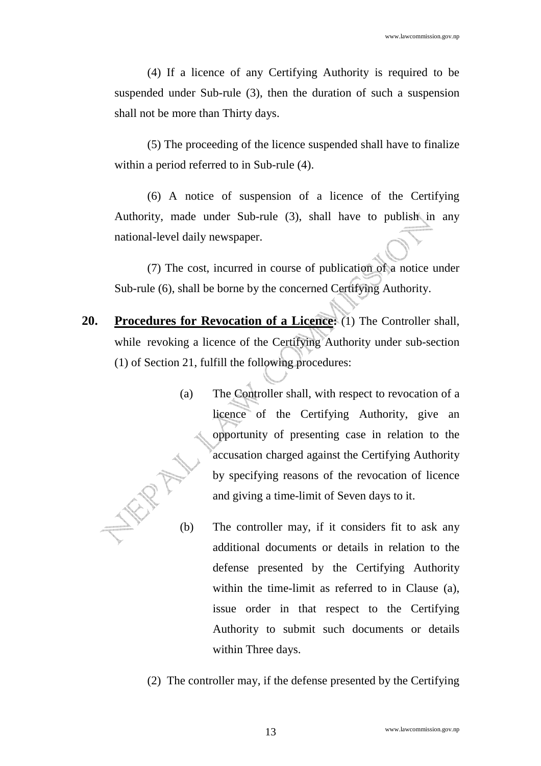(4) If a licence of any Certifying Authority is required to be suspended under Sub-rule (3), then the duration of such a suspension shall not be more than Thirty days.

(5) The proceeding of the licence suspended shall have to finalize within a period referred to in Sub-rule (4).

(6) A notice of suspension of a licence of the Certifying Authority, made under Sub-rule (3), shall have to publish in any national-level daily newspaper.

(7) The cost, incurred in course of publication of a notice under Sub-rule (6), shall be borne by the concerned Certifying Authority.

- **20. Procedures for Revocation of a Licence:** (1) The Controller shall, while revoking a licence of the Certifying Authority under sub-section (1) of Section 21, fulfill the following procedures:
	- (a) The Controller shall, with respect to revocation of a licence of the Certifying Authority, give an opportunity of presenting case in relation to the accusation charged against the Certifying Authority by specifying reasons of the revocation of licence and giving a time-limit of Seven days to it.
	- (b) The controller may, if it considers fit to ask any additional documents or details in relation to the defense presented by the Certifying Authority within the time-limit as referred to in Clause (a), issue order in that respect to the Certifying Authority to submit such documents or details within Three days.
	- (2) The controller may, if the defense presented by the Certifying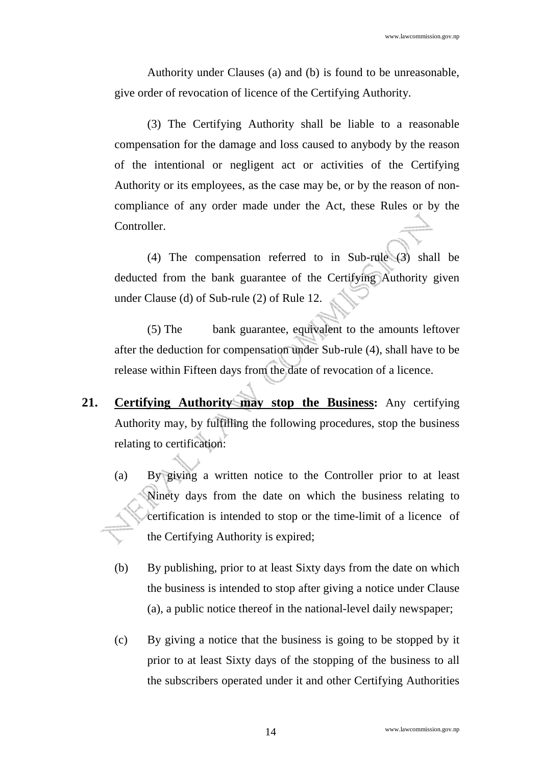Authority under Clauses (a) and (b) is found to be unreasonable, give order of revocation of licence of the Certifying Authority.

(3) The Certifying Authority shall be liable to a reasonable compensation for the damage and loss caused to anybody by the reason of the intentional or negligent act or activities of the Certifying Authority or its employees, as the case may be, or by the reason of noncompliance of any order made under the Act, these Rules or by the Controller.

(4) The compensation referred to in Sub-rule (3) shall be deducted from the bank guarantee of the Certifying Authority given under Clause (d) of Sub-rule (2) of Rule 12.

(5) The bank guarantee, equivalent to the amounts leftover after the deduction for compensation under Sub-rule (4), shall have to be release within Fifteen days from the date of revocation of a licence.

- **21. Certifying Authority may stop the Business:** Any certifying Authority may, by fulfilling the following procedures, stop the business relating to certification:
	- (a) By giving a written notice to the Controller prior to at least Ninety days from the date on which the business relating to certification is intended to stop or the time-limit of a licence of the Certifying Authority is expired;
	- (b) By publishing, prior to at least Sixty days from the date on which the business is intended to stop after giving a notice under Clause (a), a public notice thereof in the national-level daily newspaper;
	- (c) By giving a notice that the business is going to be stopped by it prior to at least Sixty days of the stopping of the business to all the subscribers operated under it and other Certifying Authorities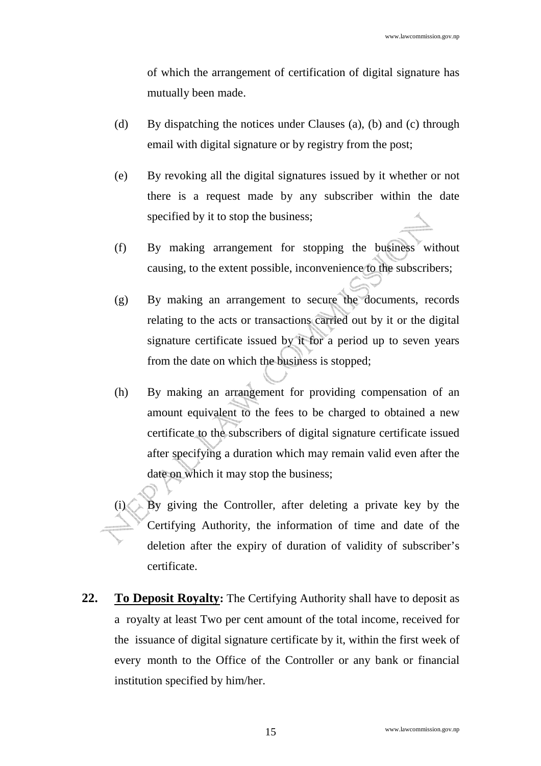of which the arrangement of certification of digital signature has mutually been made.

- (d) By dispatching the notices under Clauses (a), (b) and (c) through email with digital signature or by registry from the post;
- (e) By revoking all the digital signatures issued by it whether or not there is a request made by any subscriber within the date specified by it to stop the business;
- (f) By making arrangement for stopping the business without causing, to the extent possible, inconvenience to the subscribers;
- (g) By making an arrangement to secure the documents, records relating to the acts or transactions carried out by it or the digital signature certificate issued by it for a period up to seven years from the date on which the business is stopped;
- (h) By making an arrangement for providing compensation of an amount equivalent to the fees to be charged to obtained a new certificate to the subscribers of digital signature certificate issued after specifying a duration which may remain valid even after the date on which it may stop the business;
- By giving the Controller, after deleting a private key by the Certifying Authority, the information of time and date of the deletion after the expiry of duration of validity of subscriber's certificate.
- **22. To Deposit Royalty:** The Certifying Authority shall have to deposit as a royalty at least Two per cent amount of the total income, received for the issuance of digital signature certificate by it, within the first week of every month to the Office of the Controller or any bank or financial institution specified by him/her.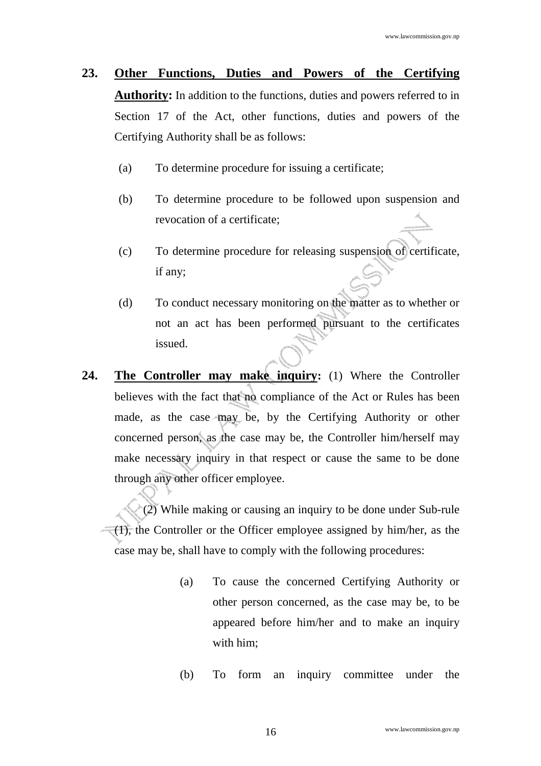- **23. Other Functions, Duties and Powers of the Certifying Authority:** In addition to the functions, duties and powers referred to in Section 17 of the Act, other functions, duties and powers of the Certifying Authority shall be as follows:
	- (a) To determine procedure for issuing a certificate;
	- (b) To determine procedure to be followed upon suspension and revocation of a certificate;
	- (c) To determine procedure for releasing suspension of certificate, if any;
	- (d) To conduct necessary monitoring on the matter as to whether or not an act has been performed pursuant to the certificates issued.
- **24. The Controller may make inquiry:** (1) Where the Controller believes with the fact that no compliance of the Act or Rules has been made, as the case may be, by the Certifying Authority or other concerned person, as the case may be, the Controller him/herself may make necessary inquiry in that respect or cause the same to be done through any other officer employee.

(2) While making or causing an inquiry to be done under Sub-rule (1), the Controller or the Officer employee assigned by him/her, as the case may be, shall have to comply with the following procedures:

- (a) To cause the concerned Certifying Authority or other person concerned, as the case may be, to be appeared before him/her and to make an inquiry with him;
- (b) To form an inquiry committee under the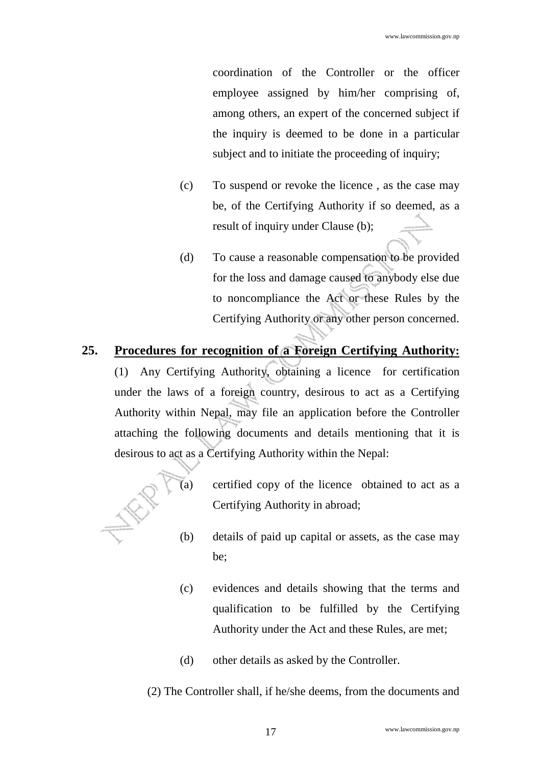coordination of the Controller or the officer employee assigned by him/her comprising of, among others, an expert of the concerned subject if the inquiry is deemed to be done in a particular subject and to initiate the proceeding of inquiry;

- (c) To suspend or revoke the licence , as the case may be, of the Certifying Authority if so deemed, as a result of inquiry under Clause (b);
- (d) To cause a reasonable compensation to be provided for the loss and damage caused to anybody else due to noncompliance the Act or these Rules by the Certifying Authority or any other person concerned.

#### **25. Procedures for recognition of a Foreign Certifying Authority:**

(1) Any Certifying Authority, obtaining a licence for certification under the laws of a foreign country, desirous to act as a Certifying Authority within Nepal, may file an application before the Controller attaching the following documents and details mentioning that it is desirous to act as a Certifying Authority within the Nepal:



- (a) certified copy of the licence obtained to act as a Certifying Authority in abroad;
- (b) details of paid up capital or assets, as the case may be;
- (c) evidences and details showing that the terms and qualification to be fulfilled by the Certifying Authority under the Act and these Rules, are met;
- (d) other details as asked by the Controller.

(2) The Controller shall, if he/she deems, from the documents and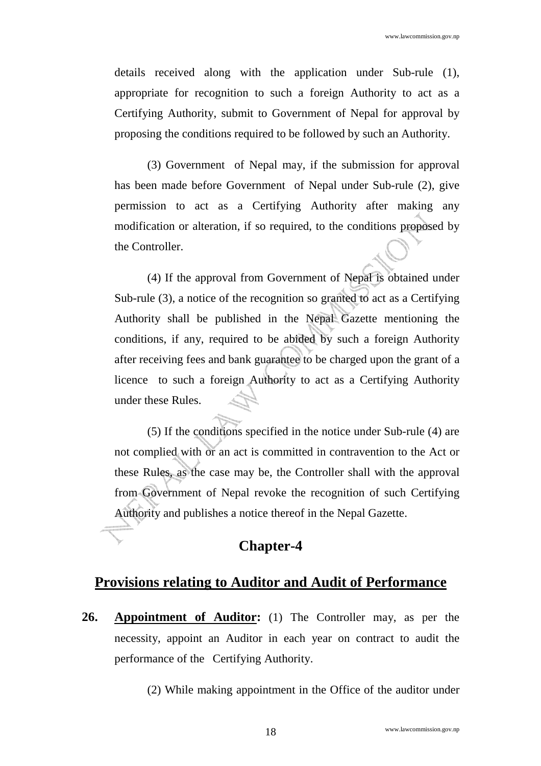details received along with the application under Sub-rule (1), appropriate for recognition to such a foreign Authority to act as a Certifying Authority, submit to Government of Nepal for approval by proposing the conditions required to be followed by such an Authority.

(3) Government of Nepal may, if the submission for approval has been made before Government of Nepal under Sub-rule (2), give permission to act as a Certifying Authority after making any modification or alteration, if so required, to the conditions proposed by the Controller.

(4) If the approval from Government of Nepal is obtained under Sub-rule (3), a notice of the recognition so granted to act as a Certifying Authority shall be published in the Nepal Gazette mentioning the conditions, if any, required to be abided by such a foreign Authority after receiving fees and bank guarantee to be charged upon the grant of a licence to such a foreign Authority to act as a Certifying Authority under these Rules.

(5) If the conditions specified in the notice under Sub-rule (4) are not complied with or an act is committed in contravention to the Act or these Rules, as the case may be, the Controller shall with the approval from Government of Nepal revoke the recognition of such Certifying Authority and publishes a notice thereof in the Nepal Gazette.

### **Chapter-4**

### **Provisions relating to Auditor and Audit of Performance**

**26. Appointment of Auditor:** (1) The Controller may, as per the necessity, appoint an Auditor in each year on contract to audit the performance of the Certifying Authority.

(2) While making appointment in the Office of the auditor under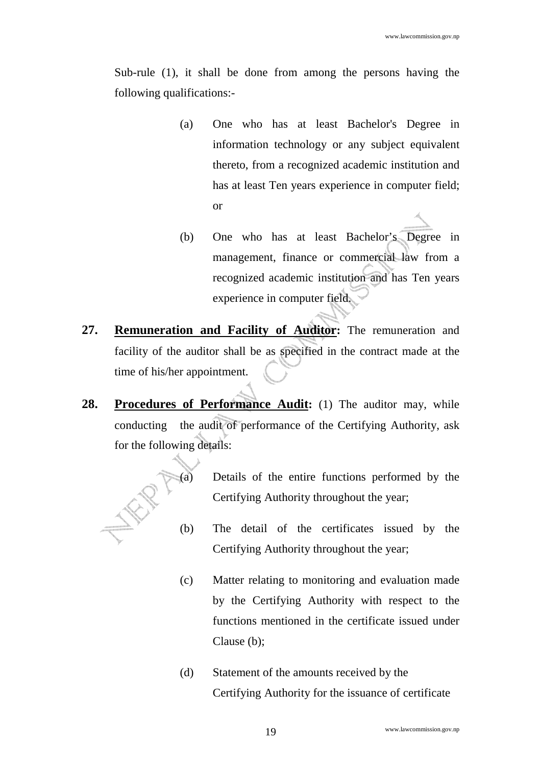Sub-rule (1), it shall be done from among the persons having the following qualifications:-

- (a) One who has at least Bachelor's Degree in information technology or any subject equivalent thereto, from a recognized academic institution and has at least Ten years experience in computer field; or
- (b) One who has at least Bachelor's Degree in management, finance or commercial law from a recognized academic institution and has Ten years experience in computer field.
- **27. Remuneration and Facility of Auditor:** The remuneration and facility of the auditor shall be as specified in the contract made at the time of his/her appointment.
- 28. Procedures of Performance Audit: (1) The auditor may, while conducting the audit of performance of the Certifying Authority, ask for the following details:



- Details of the entire functions performed by the Certifying Authority throughout the year;
- (b) The detail of the certificates issued by the Certifying Authority throughout the year;
- (c) Matter relating to monitoring and evaluation made by the Certifying Authority with respect to the functions mentioned in the certificate issued under Clause (b);
- (d) Statement of the amounts received by the Certifying Authority for the issuance of certificate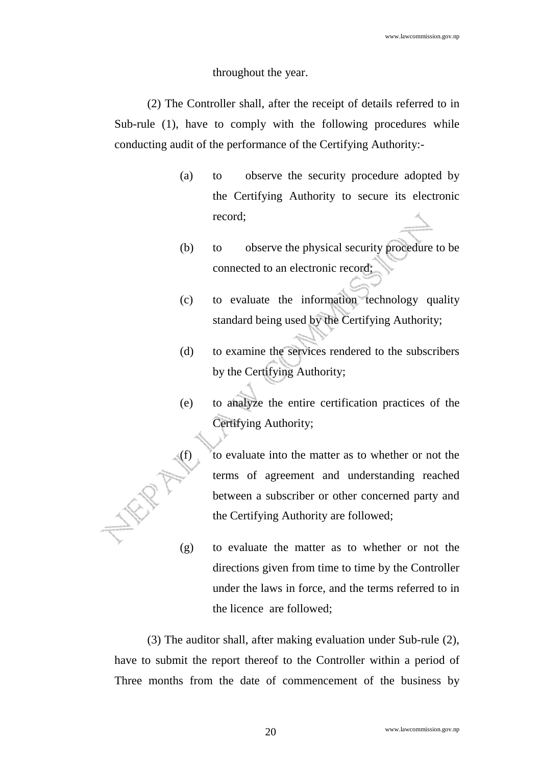#### throughout the year.

(2) The Controller shall, after the receipt of details referred to in Sub-rule (1), have to comply with the following procedures while conducting audit of the performance of the Certifying Authority:-

- (a) to observe the security procedure adopted by the Certifying Authority to secure its electronic record;
- (b) to observe the physical security procedure to be connected to an electronic record;
- (c) to evaluate the information technology quality standard being used by the Certifying Authority;
- (d) to examine the services rendered to the subscribers by the Certifying Authority;
- (e) to analyze the entire certification practices of the Certifying Authority;

(f) to evaluate into the matter as to whether or not the terms of agreement and understanding reached between a subscriber or other concerned party and the Certifying Authority are followed;

(g) to evaluate the matter as to whether or not the directions given from time to time by the Controller under the laws in force, and the terms referred to in the licence are followed;

(3) The auditor shall, after making evaluation under Sub-rule (2), have to submit the report thereof to the Controller within a period of Three months from the date of commencement of the business by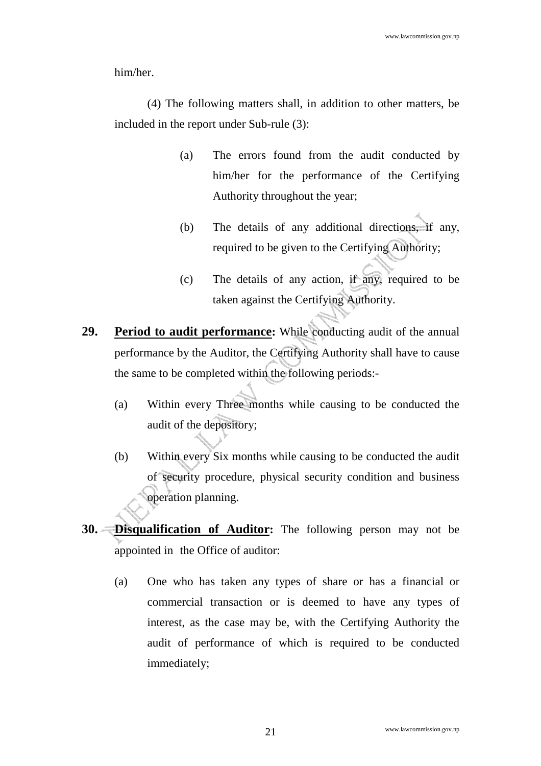him/her.

(4) The following matters shall, in addition to other matters, be included in the report under Sub-rule (3):

- (a) The errors found from the audit conducted by him/her for the performance of the Certifying Authority throughout the year;
- (b) The details of any additional directions, if any, required to be given to the Certifying Authority;
- (c) The details of any action, if any, required to be taken against the Certifying Authority.
- **29. Period to audit performance:** While conducting audit of the annual performance by the Auditor, the Certifying Authority shall have to cause the same to be completed within the following periods:-
	- (a) Within every Three months while causing to be conducted the audit of the depository;
	- (b) Within every Six months while causing to be conducted the audit of security procedure, physical security condition and business operation planning.
- **30. Disqualification of Auditor:** The following person may not be appointed in the Office of auditor:
	- (a) One who has taken any types of share or has a financial or commercial transaction or is deemed to have any types of interest, as the case may be, with the Certifying Authority the audit of performance of which is required to be conducted immediately;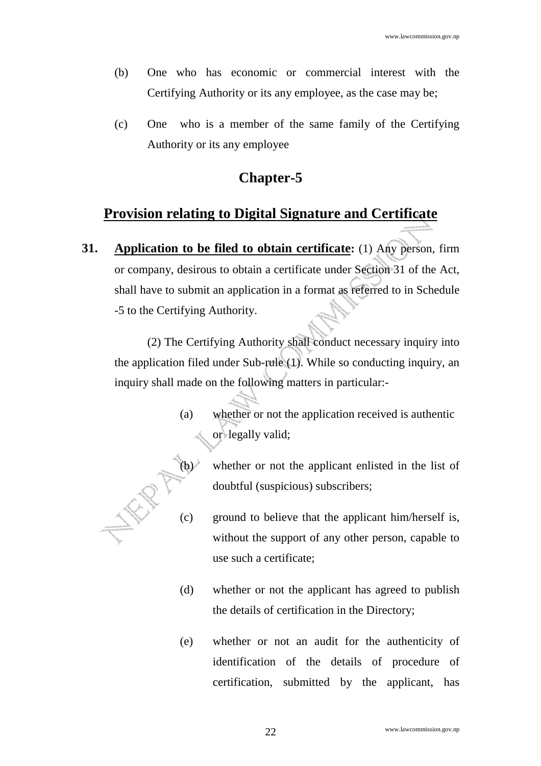- (b) One who has economic or commercial interest with the Certifying Authority or its any employee, as the case may be;
- (c) One who is a member of the same family of the Certifying Authority or its any employee

### **Chapter-5**

### **Provision relating to Digital Signature and Certificate**

**31. Application to be filed to obtain certificate:** (1) Any person, firm or company, desirous to obtain a certificate under Section 31 of the Act, shall have to submit an application in a format as referred to in Schedule -5 to the Certifying Authority.

(2) The Certifying Authority shall conduct necessary inquiry into the application filed under Sub-rule (1). While so conducting inquiry, an inquiry shall made on the following matters in particular:-

> (a) whether or not the application received is authentic or legally valid;



- whether or not the applicant enlisted in the list of doubtful (suspicious) subscribers;
- (c) doubtful (suspicious) subscribers;<br>(c) ground to believe that the applicant him/herself is, without the support of any other person, capable to use such a certificate;
	- (d) whether or not the applicant has agreed to publish the details of certification in the Directory;
	- (e) whether or not an audit for the authenticity of identification of the details of procedure of certification, submitted by the applicant, has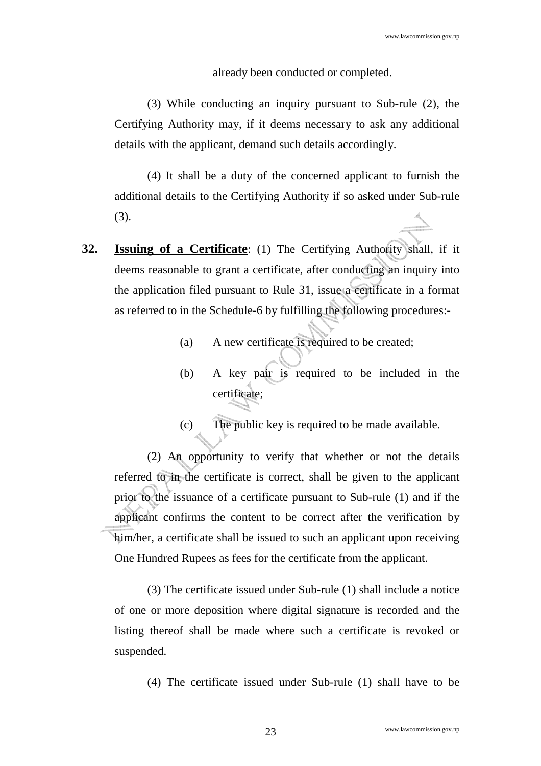#### already been conducted or completed.

(3) While conducting an inquiry pursuant to Sub-rule (2), the Certifying Authority may, if it deems necessary to ask any additional details with the applicant, demand such details accordingly.

(4) It shall be a duty of the concerned applicant to furnish the additional details to the Certifying Authority if so asked under Sub-rule (3).

- **32. Issuing of a Certificate**: (1) The Certifying Authority shall, if it deems reasonable to grant a certificate, after conducting an inquiry into the application filed pursuant to Rule 31, issue a certificate in a format as referred to in the Schedule-6 by fulfilling the following procedures:-
	- (a) A new certificate is required to be created;
	- (b) A key pair is required to be included in the certificate;
	- (c) The public key is required to be made available.

(2) An opportunity to verify that whether or not the details referred to in the certificate is correct, shall be given to the applicant prior to the issuance of a certificate pursuant to Sub-rule (1) and if the applicant confirms the content to be correct after the verification by him/her, a certificate shall be issued to such an applicant upon receiving One Hundred Rupees as fees for the certificate from the applicant.

(3) The certificate issued under Sub-rule (1) shall include a notice of one or more deposition where digital signature is recorded and the listing thereof shall be made where such a certificate is revoked or suspended.

(4) The certificate issued under Sub-rule (1) shall have to be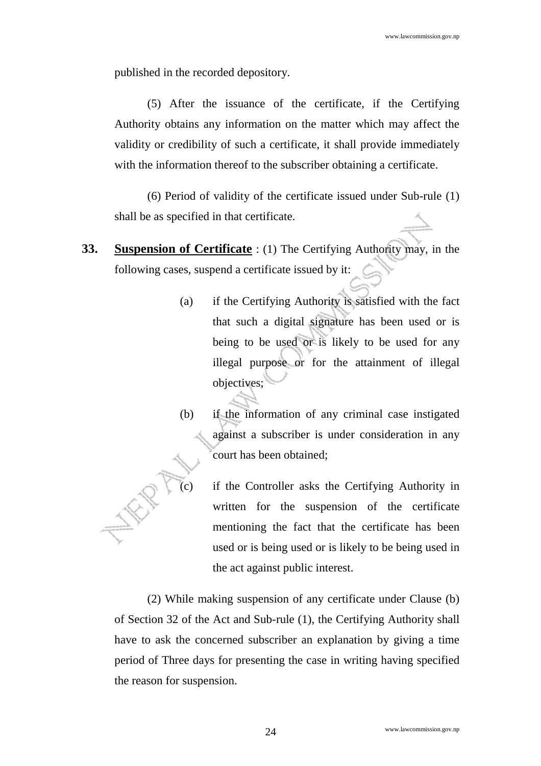published in the recorded depository.

(5) After the issuance of the certificate, if the Certifying Authority obtains any information on the matter which may affect the validity or credibility of such a certificate, it shall provide immediately with the information thereof to the subscriber obtaining a certificate.

(6) Period of validity of the certificate issued under Sub-rule (1) shall be as specified in that certificate.

- **33. Suspension of Certificate** : (1) The Certifying Authority may, in the following cases, suspend a certificate issued by it:
	- (a) if the Certifying Authority is satisfied with the fact that such a digital signature has been used or is being to be used or is likely to be used for any illegal purpose or for the attainment of illegal objectives;
	- (b) if the information of any criminal case instigated against a subscriber is under consideration in any court has been obtained;
		- if the Controller asks the Certifying Authority in written for the suspension of the certificate mentioning the fact that the certificate has been used or is being used or is likely to be being used in the act against public interest.

(2) While making suspension of any certificate under Clause (b) of Section 32 of the Act and Sub-rule (1), the Certifying Authority shall have to ask the concerned subscriber an explanation by giving a time period of Three days for presenting the case in writing having specified the reason for suspension.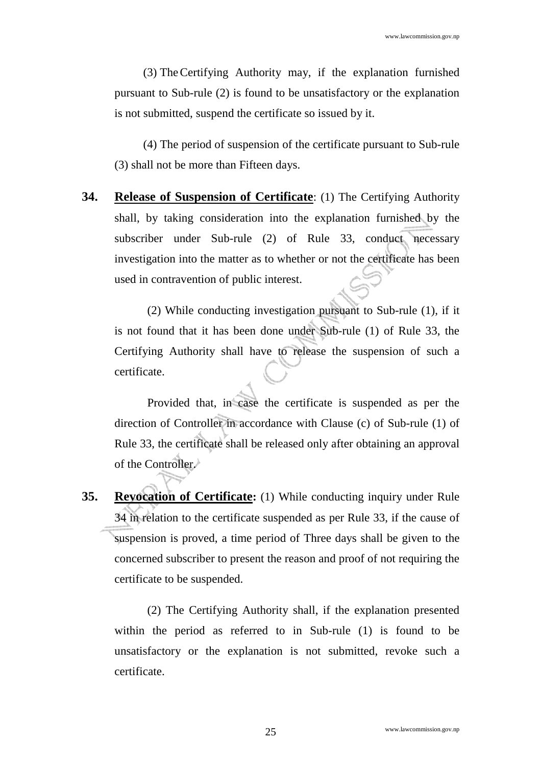(3) The Certifying Authority may, if the explanation furnished pursuant to Sub-rule (2) is found to be unsatisfactory or the explanation is not submitted, suspend the certificate so issued by it.

(4) The period of suspension of the certificate pursuant to Sub-rule (3) shall not be more than Fifteen days.

**34. Release of Suspension of Certificate**: (1) The Certifying Authority shall, by taking consideration into the explanation furnished by the subscriber under Sub-rule (2) of Rule 33, conduct necessary investigation into the matter as to whether or not the certificate has been used in contravention of public interest.

(2) While conducting investigation pursuant to Sub-rule (1), if it is not found that it has been done under Sub-rule (1) of Rule 33, the Certifying Authority shall have to release the suspension of such a certificate.

Provided that, in case the certificate is suspended as per the direction of Controller in accordance with Clause (c) of Sub-rule (1) of Rule 33, the certificate shall be released only after obtaining an approval of the Controller.

**35. Revocation of Certificate:** (1) While conducting inquiry under Rule 34 in relation to the certificate suspended as per Rule 33, if the cause of suspension is proved, a time period of Three days shall be given to the concerned subscriber to present the reason and proof of not requiring the certificate to be suspended.

(2) The Certifying Authority shall, if the explanation presented within the period as referred to in Sub-rule (1) is found to be unsatisfactory or the explanation is not submitted, revoke such a certificate.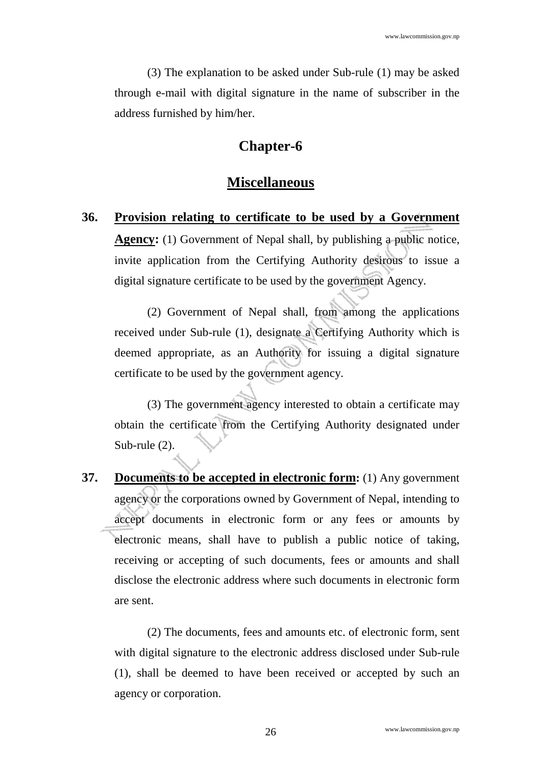(3) The explanation to be asked under Sub-rule (1) may be asked through e-mail with digital signature in the name of subscriber in the address furnished by him/her.

### **Chapter-6**

#### **Miscellaneous**

**36. Provision relating to certificate to be used by a Government Agency:** (1) Government of Nepal shall, by publishing a public notice, invite application from the Certifying Authority desirous to issue a digital signature certificate to be used by the government Agency.

(2) Government of Nepal shall, from among the applications received under Sub-rule (1), designate a Certifying Authority which is deemed appropriate, as an Authority for issuing a digital signature certificate to be used by the government agency.

(3) The government agency interested to obtain a certificate may obtain the certificate from the Certifying Authority designated under Sub-rule (2).

**37. Documents to be accepted in electronic form:** (1) Any government agency or the corporations owned by Government of Nepal, intending to accept documents in electronic form or any fees or amounts by electronic means, shall have to publish a public notice of taking, receiving or accepting of such documents, fees or amounts and shall disclose the electronic address where such documents in electronic form are sent.

(2) The documents, fees and amounts etc. of electronic form, sent with digital signature to the electronic address disclosed under Sub-rule (1), shall be deemed to have been received or accepted by such an agency or corporation.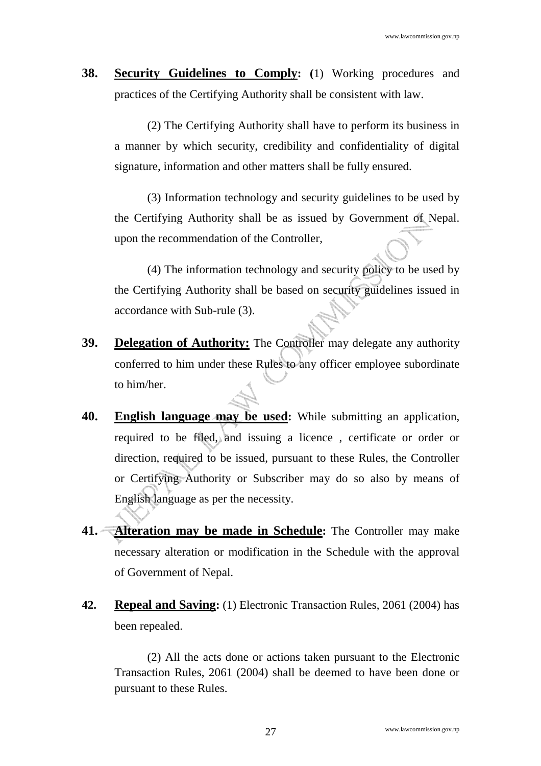**38. Security Guidelines to Comply: (**1) Working procedures and practices of the Certifying Authority shall be consistent with law.

(2) The Certifying Authority shall have to perform its business in a manner by which security, credibility and confidentiality of digital signature, information and other matters shall be fully ensured.

(3) Information technology and security guidelines to be used by the Certifying Authority shall be as issued by Government of Nepal. upon the recommendation of the Controller,

(4) The information technology and security policy to be used by the Certifying Authority shall be based on security guidelines issued in accordance with Sub-rule (3).

- **39. Delegation of Authority:** The Controller may delegate any authority conferred to him under these Rules to any officer employee subordinate to him/her.
- **40. English language may be used:** While submitting an application, required to be filed, and issuing a licence , certificate or order or direction, required to be issued, pursuant to these Rules, the Controller or Certifying Authority or Subscriber may do so also by means of English language as per the necessity.
- **41. Alteration may be made in Schedule:** The Controller may make necessary alteration or modification in the Schedule with the approval of Government of Nepal.
- **42. Repeal and Saving:** (1) Electronic Transaction Rules, 2061 (2004) has been repealed.

(2) All the acts done or actions taken pursuant to the Electronic Transaction Rules, 2061 (2004) shall be deemed to have been done or pursuant to these Rules.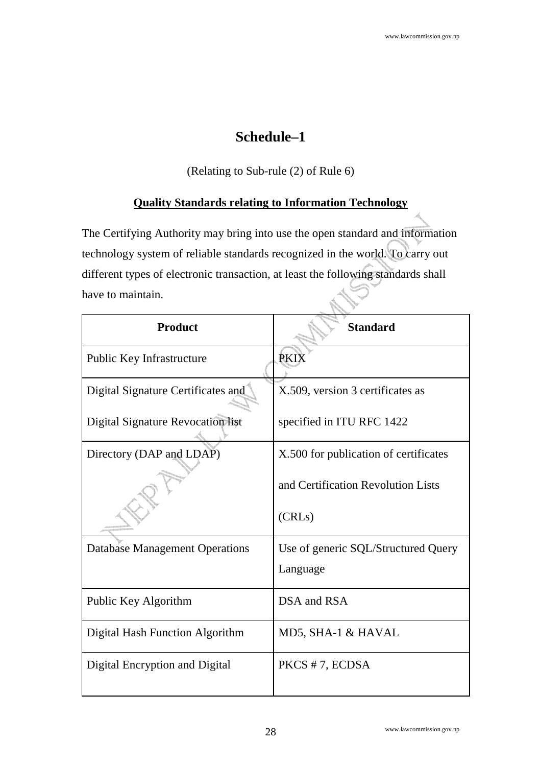## **Schedule–1**

(Relating to Sub-rule (2) of Rule 6)

### **Quality Standards relating to Information Technology**

The Certifying Authority may bring into use the open standard and information technology system of reliable standards recognized in the world. To carry out different types of electronic transaction, at least the following standards shall have to maintain.

| <b>Product</b>                           | <b>Standard</b>                       |  |  |
|------------------------------------------|---------------------------------------|--|--|
| <b>Public Key Infrastructure</b>         | <b>PKIX</b>                           |  |  |
| Digital Signature Certificates and       | X.509, version 3 certificates as      |  |  |
| <b>Digital Signature Revocation list</b> | specified in ITU RFC 1422             |  |  |
| Directory (DAP and LDAP)                 | X.500 for publication of certificates |  |  |
|                                          | and Certification Revolution Lists    |  |  |
|                                          | (CRLs)                                |  |  |
| <b>Database Management Operations</b>    | Use of generic SQL/Structured Query   |  |  |
|                                          | Language                              |  |  |
| Public Key Algorithm                     | DSA and RSA                           |  |  |
| Digital Hash Function Algorithm          | MD5, SHA-1 & HAVAL                    |  |  |
| Digital Encryption and Digital           | PKCS #7, ECDSA                        |  |  |
|                                          |                                       |  |  |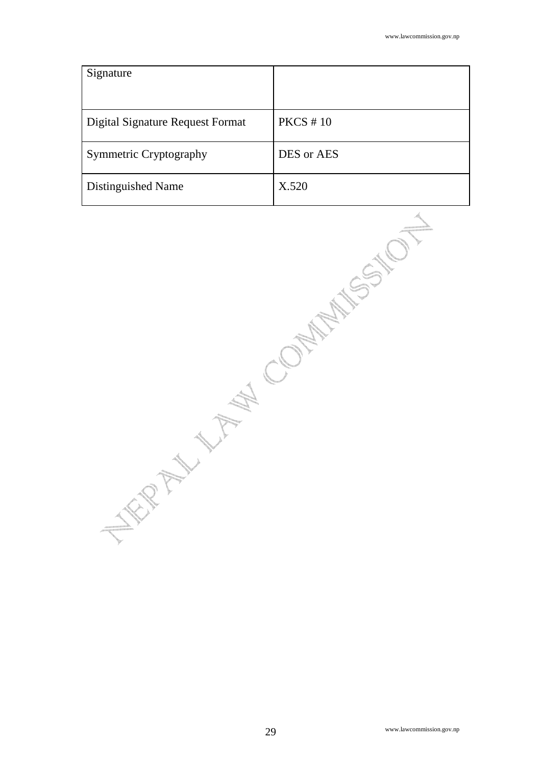| Signature                        |              |
|----------------------------------|--------------|
| Digital Signature Request Format | $PKCS \# 10$ |
| <b>Symmetric Cryptography</b>    | DES or AES   |
| Distinguished Name               | X.520        |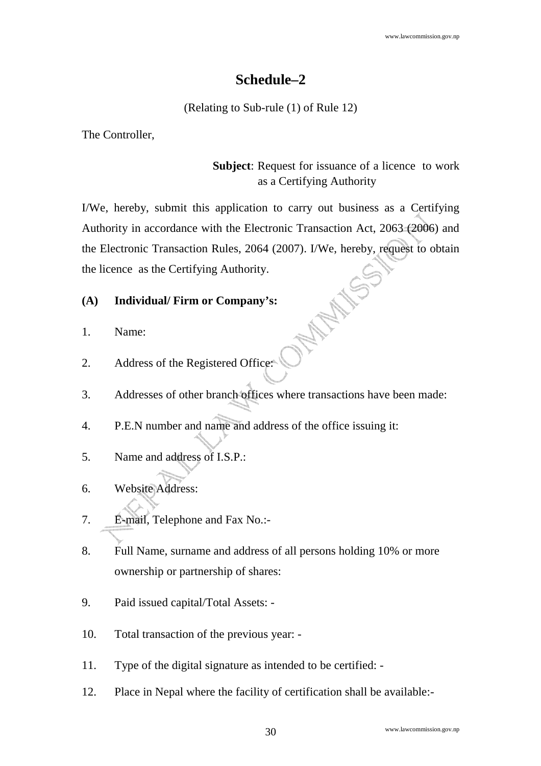## **Schedule–2**

(Relating to Sub-rule (1) of Rule 12)

The Controller,

### **Subject**: Request for issuance of a licence to work as a Certifying Authority

I/We, hereby, submit this application to carry out business as a Certifying Authority in accordance with the Electronic Transaction Act, 2063 (2006) and the Electronic Transaction Rules, 2064 (2007). I/We, hereby, request to obtain **SOLEN HILE** the licence as the Certifying Authority.

### **(A) Individual/ Firm or Company's:**

- 1. Name:
- 2. Address of the Registered Office:
- 3. Addresses of other branch offices where transactions have been made:
- 4. P.E.N number and name and address of the office issuing it:
- 5. Name and address of I.S.P.:
- 6. Website Address:
- 7. E-mail, Telephone and Fax No.:-
- 8. Full Name, surname and address of all persons holding 10% or more ownership or partnership of shares:
- 9. Paid issued capital/Total Assets: -
- 10. Total transaction of the previous year: -
- 11. Type of the digital signature as intended to be certified: -
- 12. Place in Nepal where the facility of certification shall be available:-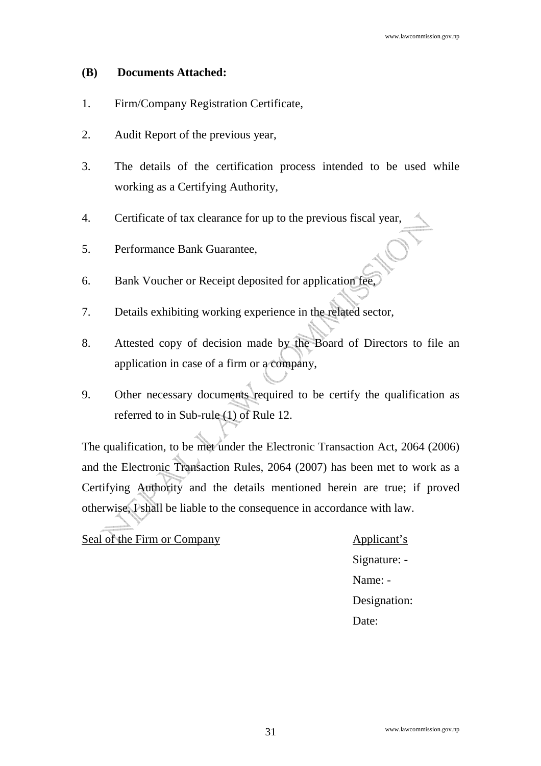#### **(B) Documents Attached:**

- 1. Firm/Company Registration Certificate,
- 2. Audit Report of the previous year,
- 3. The details of the certification process intended to be used while working as a Certifying Authority,
- 4. Certificate of tax clearance for up to the previous fiscal year,
- 5. Performance Bank Guarantee,
- 6. Bank Voucher or Receipt deposited for application fee,
- 7. Details exhibiting working experience in the related sector,
- 8. Attested copy of decision made by the Board of Directors to file an application in case of a firm or a company,
- 9. Other necessary documents required to be certify the qualification as referred to in Sub-rule (1) of Rule 12.

The qualification, to be met under the Electronic Transaction Act, 2064 (2006) and the Electronic Transaction Rules, 2064 (2007) has been met to work as a Certifying Authority and the details mentioned herein are true; if proved otherwise, I shall be liable to the consequence in accordance with law.

Seal of the Firm or Company Applicant's

Signature: - Name: - Designation: Date: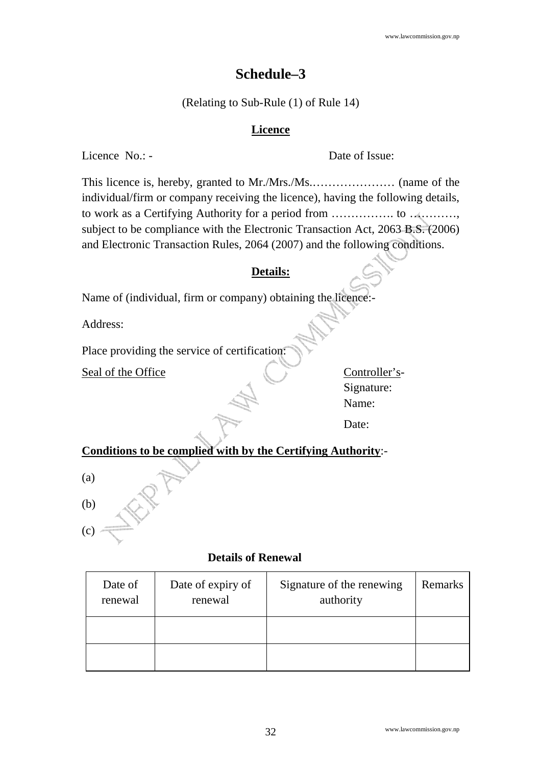### **Schedule–3**

(Relating to Sub-Rule (1) of Rule 14)

#### **Licence**

Licence No.: - Date of Issue:

This licence is, hereby, granted to Mr./Mrs./Ms.………………… (name of the individual/firm or company receiving the licence), having the following details, to work as a Certifying Authority for a period from ……………. to …………, subject to be compliance with the Electronic Transaction Act, 2063 B.S. (2006) and Electronic Transaction Rules, 2064 (2007) and the following conditions.

#### **Details:**

Name of (individual, firm or company) obtaining the licence:

Address:

Place providing the service of certification:

Seal of the Office Controller's-

Signature: Name:

Date:

**Conditions to be complied with by the Certifying Authority**:-

(a)

(b)

(c)

#### **Details of Renewal**

| Date of<br>renewal | Date of expiry of<br>renewal | Signature of the renewing<br>authority | Remarks |
|--------------------|------------------------------|----------------------------------------|---------|
|                    |                              |                                        |         |
|                    |                              |                                        |         |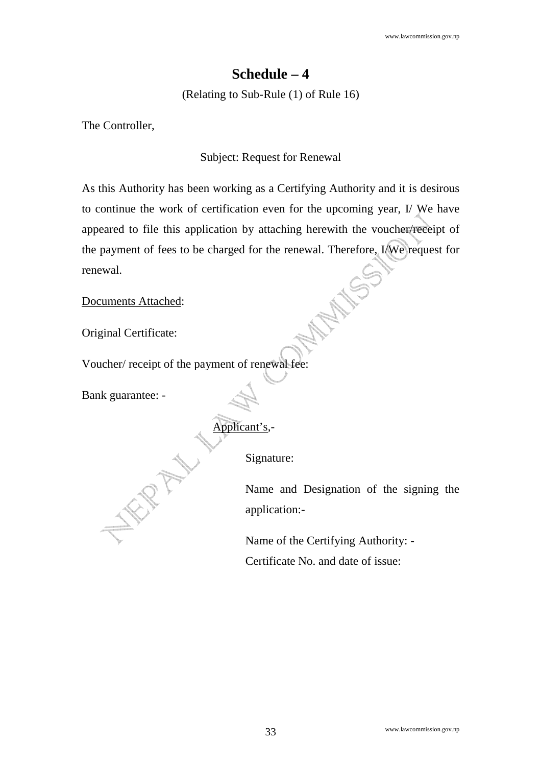### **Schedule – 4**

(Relating to Sub-Rule (1) of Rule 16)

The Controller,

#### Subject: Request for Renewal

As this Authority has been working as a Certifying Authority and it is desirous to continue the work of certification even for the upcoming year, I/ We have appeared to file this application by attaching herewith the voucher/receipt of the payment of fees to be charged for the renewal. Therefore, I/We request for AMANYSSA renewal.

Documents Attached:

Original Certificate:

Voucher/ receipt of the payment of renewal fee:

Bank guarantee: -

WRANN 1

Applicant's,-

Signature:

Name and Designation of the signing the application:-

Name of the Certifying Authority: - Certificate No. and date of issue: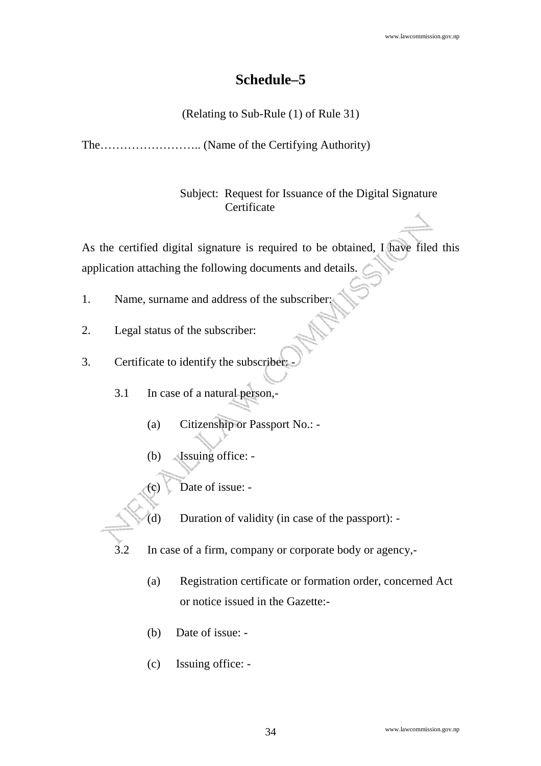## **Schedule–5**

(Relating to Sub-Rule (1) of Rule 31)

The…………………….. (Name of the Certifying Authority)

Subject: Request for Issuance of the Digital Signature **Certificate** 

As the certified digital signature is required to be obtained, I have filed this application attaching the following documents and details.

- 1. Name, surname and address of the subscriber:
- 2. Legal status of the subscriber:
- 3. Certificate to identify the subscriber:
	- 3.1 In case of a natural person,-
		- (a) Citizenship or Passport No.: -
		- (b) Issuing office: -

Date of issue: -

- (d) Duration of validity (in case of the passport): -
- In case of a firm, company or corporate body or agency,-
	- (a) Registration certificate or formation order, concerned Act or notice issued in the Gazette:-
	- (b) Date of issue: -
	- (c) Issuing office: -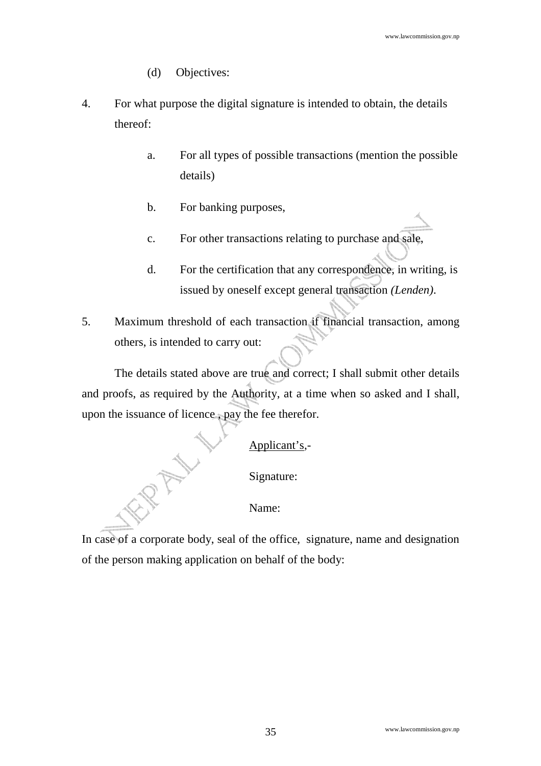- (d) Objectives:
- 4. For what purpose the digital signature is intended to obtain, the details thereof:
	- a. For all types of possible transactions (mention the possible details)
	- b. For banking purposes,
	- c. For other transactions relating to purchase and sale,
	- d. For the certification that any correspondence, in writing, is issued by oneself except general transaction *(Lenden)*.
- 5. Maximum threshold of each transaction if financial transaction, among others, is intended to carry out:

 The details stated above are true and correct; I shall submit other details and proofs, as required by the Authority, at a time when so asked and I shall, upon the issuance of licence , pay the fee therefor.

Applicant's,-

Signature:

Name:

In case of a corporate body, seal of the office, signature, name and designation of the person making application on behalf of the body: